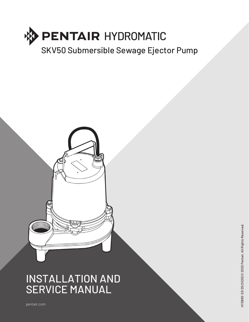



# INSTALLATION AND SERVICE MANUAL

pentair.com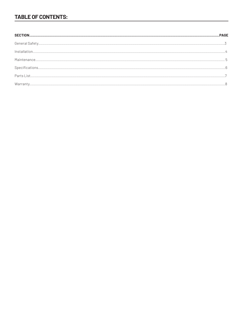# **TABLE OF CONTENTS:**

| $\text{Warranty}.\textcolor{red}{\textbf{1}}\textcolor{red}{\textbf{2}}\textcolor{red}{\textbf{3}}\textcolor{red}{\textbf{4}}\textcolor{red}{\textbf{5}}\textcolor{red}{\textbf{6}}\textcolor{red}{\textbf{7}}\textcolor{red}{\textbf{8}}\textcolor{red}{\textbf{9}}\textcolor{red}{\textbf{10}}\textcolor{red}{\textbf{10}}\textcolor{red}{\textbf{10}}\textcolor{red}{\textbf{10}}\textcolor{red}{\textbf{10}}\textcolor{red}{\textbf{10}}\textcolor{red}{\textbf{10}}\textcolor{red}{\textbf{10}}$ |  |
|-------------------------------------------------------------------------------------------------------------------------------------------------------------------------------------------------------------------------------------------------------------------------------------------------------------------------------------------------------------------------------------------------------------------------------------------------------------------------------------------------------|--|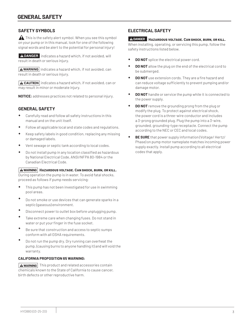# **SAFETY SYMBOLS**

This is the safety alert symbol. When you see this symbol on your pump or in this manual, look for one of the following signal words and be alert to the potential for personal injury!

**ADANGER** indicates a hazard which, if not avoided, will result in death or serious injury.

 $\sqrt{\text{A}$  WARNING indicates a hazard which, if not avoided, can result in death or serious injury.

 $\sqrt{\text{A CAUTION}}$  indicates a hazard which, if not avoided, can or may result in minor or moderate injury.

**NOTICE:** addresses practices not related to personal injury.

# **GENERAL SAFETY**

- Carefully read and follow all safety instructions in this manual and on the unit itself.
- Follow all applicable local and state codes and regulations.
- Keep safety labels in good condition, replacing any missing or damaged labels.
- Vent sewage or septic tank according to local codes.
- Do not install pump in any location classified as hazardous by National Electrical Code, ANSI/NFPA 80-1984 or the Canadian Electrical Code.

#### **Hazardous voltage. Can shock, burn, or kill. WARNING**

During operation the pump is in water. To avoid fatal shocks, proceed as follows if pump needs servicing:

- This pump has not been investigated for use in swimming pool areas.
- Do not smoke or use devices that can generate sparks in a septic (gaseous) environment.
- Disconnect power to outlet box before unplugging pump.
- Take extreme care when changing fuses. Do not stand in water or put your finger in the fuse socket.
- Be sure that construction and access to septic sumps conform with all OSHA requirements.
- Do not run the pump dry. Dry running can overheat the pump, (causing burns to anyone handling it) and will void the warranty.

#### **CALIFORNIA PROPOSITION 65 WARNING:**

**WARNING** This product and related accessories contain chemicals known to the State of California to cause cancer, birth defects or other reproductive harm.

### **ELECTRICAL SAFETY**

#### **Hazardous voltage. Can shock, burn, or kill. DANGER**

When installing, operating, or servicing this pump, follow the safety instructions listed below.

- **DO NOT** splice the electrical power cord.
- **DO NOT** allow the plug on the end of the electrical cord to be submerged.
- **DO NOT** use extension cords. They are a fire hazard and can reduce voltage sufficiently to prevent pumping and/or damage motor.
- **DO NOT** handle or service the pump while it is connected to the power supply.
- **DO NOT** remove the grounding prong from the plug or modify the plug. To protect against electrical shock, the power cord is a three-wire conductor and includes a 3-prong grounded plug. Plug the pump into a 3-wire, grounded, grounding-type receptacle. Connect the pump according to the NEC or CEC and local codes.
- **BE SURE** that power supply information (Voltage/ Hertz/ Phase) on pump motor nameplate matches incoming power supply exactly. Install pump according to all electrical codes that apply.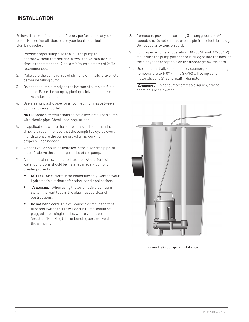Follow all instructions for satisfactory performance of your pump. Before installation, check your local electrical and plumbing codes.

- 1. Provide proper sump size to allow the pump to operate without restrictions. A two- to five-minute run time is recommended. Also, a minimum diameter of 24" is recommended.
- 2. Make sure the sump is free of string, cloth, nails, gravel, etc. before installing pump.
- 3. Do not set pump directly on the bottom of sump pit if it is not solid. Raise the pump by placing bricks or concrete blocks underneath it.
- 4. Use steel or plastic pipe for all connecting lines between pump and sewer outlet.

**NOTE**: Some city regulations do not allow installing a pump with plastic pipe. Check local regulations.

- 5. In applications where the pump may sit idle for months at a time, it is recommended that the pump(s) be cycled every month to ensure the pumping system is working properly when needed.
- 6. A check valve should be installed in the discharge pipe, at least 12" above the discharge outlet of the pump.
- 7. An audible alarm system, such as the Q-Alert, for high water conditions should be installed in every pump for greater protection.
	- **NOTE:** Q-Alert alarm is for indoor use only. Contact your Hydromatic distributor for other panel applications.
	- **\* AWARNING** When using the automatic diaphragm switch the vent tube in the plug must be clear of obstructions.
	- **Do not bend cord.** This will cause a crimp in the vent tube and switch failure will occur. Pump should be plugged into a single outlet, where vent tube can "breathe." Blocking tube or bending cord will void the warranty.
- 8. Connect to power source using 3-prong grounded AC receptacle. Do not remove ground pin from electrical plug. Do not use an extension cord.
- 9. For proper automatic operation (SKV50AD and SKV50AW) make sure the pump power cord is plugged into the back of the piggyback receptacle on the diaphragm switch cord.
- 10. Use pump partially or completely submerged for pumping (temperature to 140° F). The SKV50 will pump solid materials up to 2" (spherical) in diameter.

**AWARNING** Do not pump flammable liquids, strong chemicals or salt water.



Figure 1: SKV50 Typical Installation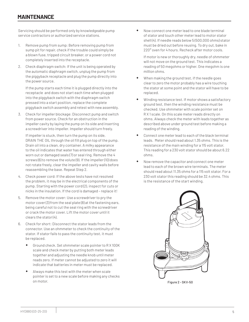Servicing should be performed only by knowledgeable pump service contractors or authorized service stations.

- 1. Remove pump from sump: Before removing pump from sump pit for repair, check if the trouble could simply be a blown fuse, tripped circuit breaker, or a power cord not completely inserted into the receptacle.
- 2. Check diaphragm switch: If the unit is being operated by the automatic diaphragm switch, unplug the pump from the piggyback receptacle and plug the pump directly into the power source.

If the pump starts each time it is plugged directly into the receptacle and does not start each time when plugged into the piggyback switch with the diaphragm switch pressed into a start position, replace the complete piggyback switch assembly and retest with new assembly.

3. Check for impeller blockage: Disconnect pump and switch from power source. Check for an obstruction in the impeller cavity by laying the pump on its side and inserting a screwdriver into impeller. Impeller should turn freely.

If impeller is stuck, then turn the pump on its side, DRAIN THE OIL through the oil fill plug on top of the pump. Drain oil into a clean, dry container. A milky appearance to the oil indicates that water has entered through either worn out or damaged seals (7) or seal ring. Remove the 4 screws (6) to remove the volute (9). If the impeller (10) does not rotate freely, clear the impeller and cavity walls before reassembling the base. Repeat Step 2.

- 4. Check power cord: If the above tests have not resolved the problem, it may be in the electrical components of the pump. Starting with the power cord (2), inspect for cuts or nicks in the insulation. If the cord is damaged – replace it!
- 5. Remove the motor cover: Use a screwdriver to pry the motor cover (3) from the seal plate (8) at the fastening ears, being careful not to cut the seal ring with the screwdriver or crack the motor cover. Lift the motor cover until it clears the stator (4).
- 6. Check for short: Disconnect the stator leads from the connector. Use an ohmmeter to check the continuity of the stator. If stator fails to pass the continuity test, it must be replaced.
	- Ground check. Set ohmmeter scale pointer to R X 100K scale and check meter by putting both meter leads together and adjusting the needle knob until meter reads zero. If meter cannot be adjusted to zero it will indicate that batteries in meter must be replaced.
	- Always make this test with the meter when scale pointer is set to a new scale before making any checks on motor.

 Now connect one meter lead to one blade terminal of stator and touch other meter lead to motor stator shell (4). If needle reads below 5 (500,000 ohms) stator must be dried out before reusing. To dry out, bake in 220° oven for 4 hours. Recheck after motor cools.

If motor is new or thoroughly dry, needle of ohmmeter will not move on the ground test. This indicates a reading of 50 megohms or higher. One megohm is one million ohms.

- When making the ground test, if the needle goes clear to zero the motor probably has a wire touching the stator at some point and the stator will have to be replaced.
- Winding resistance test. If motor shows a satisfactory ground test, then the winding resistance must be checked. Use ohmmeter with scale pointer set on R X 1 scale. On this scale meter reads directly on ohms. Always check the meter with leads together as described above under ground test before making a reading of the winding.
- Connect one meter lead to each of the black terminal leads. Meter should read about 1.35 ohms. This is the resistance of the main winding for a 115 volt stator. This reading for a 230 volt stator should be about 6.22 ohms.
- Now remove the capacitor and connect one meter lead to each of the brown wire terminals. The meter should read about 11.35 ohms for a 115 volt stator. For a 230 volt stator this reading should be 32.4 ohms. This is the resistance of the start winding.

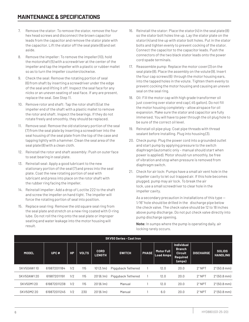- 7. Remove the stator: To remove the stator, remove the four hex head screws and disconnect the brown capacitor leads from the capacitor and remove the stator plate with the capacitor. Lift the stator off the seal plate (8) and set aside.
- 8. Remove the impeller: To remove the impeller (10), hold the motorshaft (5) with a screwdriver at the center of the impeller and tap the impeller with a plastic or rubber mallet so as to turn the impeller counterclockwise.
- 9. Check the seal: Remove the rotating portion of seal (6) from shaft by inserting a screwdriver under the edge of the seal and lifting it off. Inspect the seal face for any nicks or an uneven seating of seal face. If any are present, replace the seal. See Step 11.
- 10. Remove rotor and shaft: Tap the rotor shaft (5) at the impeller end of the shaft with a plastic mallet to remove the rotor and shaft. Inspect the bearings. If they do not rotate freely and smoothly, they should be replaced.
- 11. Remove seal: Remove the old stationary portion of the seal (7) from the seal plate by inserting a screwdriver into the seal housing of the seal plate from the top of the case and tapping lightly with a hammer. Clean the seal area of the seal plate (8) with a clean cloth.
- 12. Reinstall the rotor and shaft assembly: Push on outer face to seat bearing in seal plate.
- 13. Reinstall seal: Apply a good lubricant to the new stationary portion of the seal (7) and press into the seal plate. Coat the new rotating portion of seal with lubricant and press into place on the rotor shaft with the rubber ring facing the impeller.
- 14. Reinstall impeller: Add a drop of Loctite 222 to the shaft and screw the impeller on hand tight. The impeller will force the rotating portion of seal into position.
- 15. Replace seal ring: Remove the old square seal ring from the seal plate and stretch on a new ring coated with O-ring lube. Do not roll the ring onto the seal plate or improper seating and water leakage into the motor housing will result.
- 16. Reinstall the stator: Place the stator  $(4)$  in the seal plate  $(8)$ so the stator bolt holes line up. Lay the stator plate on the stator (4) and line up with stator bolt holes. Put in the stator bolts and tighten evenly to prevent cocking of the stator. Connect the capacitor to the capacitor leads. Push the connectors of the two black stator leads onto the power cord spade terminals.
- 17. Reassemble pump: Replace the motor cover (3) on the seal plate (8). Place the assembly on the volute (9). Insert the four cap screws (6) through the motor housing ears, into the tapped holes in the volute. Tighten them evenly to prevent cocking the motor housing and causing an uneven seal on the seal ring.
- 18. Oil: Fill the motor cap with high grade transformer oil just covering over stator end cap (.45 gallon). Do not fill the motor housing completely – allow airspace for oil expansion. Make sure the stator and capacitor are fully immersed. You will have to peer through the oil plug hole to be sure of the correct oil level.
- 19. Reinstall oil pipe plug: Coat pipe threads with thread sealant before installing. Plug into housing (3).
- 20. Check pump: Plug the power cord into a grounded outlet and start pump by applying pressure to the switch diaphragm (automatic only – manual should start when power is applied). Motor should run smoothly, be free of vibration and stop when pressure is removed from diaphragm switch.
- 21. Check for air lock: Pumps have a small air vent hole in the impeller cavity to let out trapped air. If this hole becomes plugged, pump may air lock. To break the air lock, use a small screwdriver to clear hole in the impeller cavity.

As a secondary precaution in installations of this type — 1⁄ 16" hole should be drilled in the discharge pipe below the check valve. The check valve should be 12 to 18 inches above pump discharge. Do not put check valve directly into pump discharge opening.

**Note:** In sumps where the pump is operating daily, air locking rarely occurs.

| <b>SKV50 Series - Cast Iron</b> |              |           |              |                              |                    |              |                         |                                                                            |                  |                                  |
|---------------------------------|--------------|-----------|--------------|------------------------------|--------------------|--------------|-------------------------|----------------------------------------------------------------------------|------------------|----------------------------------|
| <b>MODEL</b>                    | UPC#         | <b>HP</b> | <b>VOLTS</b> | <b>CORD</b><br><b>LENGTH</b> | <b>SWITCH</b>      | <b>PHASE</b> | Motor Full<br>Load Amps | <b>Individual</b><br><b>Branch</b><br><b>Circuit</b><br>Required<br>(amps) | <b>DISCHARGE</b> | <b>SOLIDS</b><br><b>HANDLING</b> |
| SKV50AW110                      | 619872011184 | 1/2       | 115          | 10'(3.1m)                    | Piggyback Tethered |              | 12.0                    | 20.0                                                                       | <b>2" NPT</b>    | $2^{\circ}$ (50.8 mm)            |
| SKV50AW120                      | 619872011191 | 1/2       | 115          | 20'(6.1m)                    | Piggyback Tethered |              | 12.0                    | 20.0                                                                       | <b>2" NPT</b>    | $2^{\circ}$ (50.8 mm)            |
| SKV50M120                       | 619872011238 | 1/2       | 115          | 20'(6.1m)                    | Manual             |              | 12.0                    | 20.0                                                                       | $2"$ NPT         | $2^{\circ}$ (50.8 mm)            |
| SKV50M220                       | 619872011245 | 1/2       | 230          | 20'(6.1m)                    | Manual             |              | 6.0                     | 20.0                                                                       | $2"$ NPT         | $2^{\circ}$ (50.8 mm)            |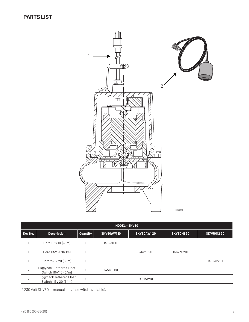

| MODEL-SKV50    |                                                   |          |                   |                   |                  |                  |  |
|----------------|---------------------------------------------------|----------|-------------------|-------------------|------------------|------------------|--|
| Key No.        | <b>Description</b>                                | Quantity | <b>SKV50AW110</b> | <b>SKV50AW120</b> | <b>SKV50M120</b> | <b>SKV50M220</b> |  |
|                | Cord 115V 10' (3.1m)                              |          | 146230101         |                   |                  |                  |  |
|                | Cord 115V 20'(6.1m)                               |          |                   | 146230201         | 146230201        |                  |  |
|                | Cord 230V 20'(6.1m)                               |          |                   |                   |                  | 146232201        |  |
| $\overline{2}$ | Piggyback Tethered Float<br>Switch 115V 10'(3.1m) |          | 145951101         |                   |                  |                  |  |
| $\overline{2}$ | Piggyback Tethered Float<br>Switch 115V 20'(6.1m) |          |                   | 145951201         |                  |                  |  |

\* 230 Volt SKV50 is manual only (no switch available).